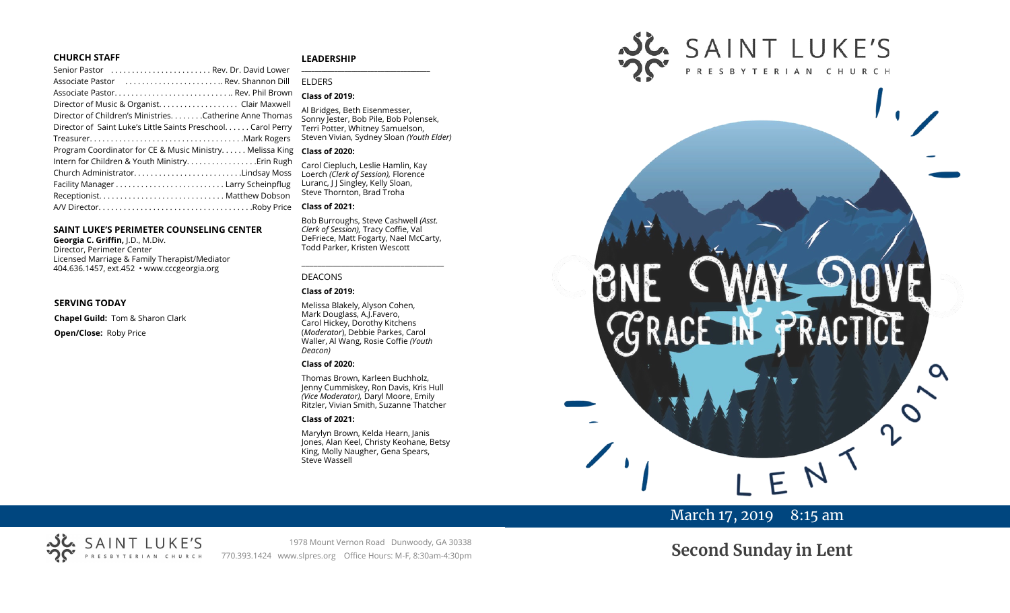## **CHURCH STAFF**

## **LEADERSHIP**

| Senior Pastor  Rev. Dr. David Lower                           |                          |
|---------------------------------------------------------------|--------------------------|
|                                                               | F                        |
| Associate Pastor Rev. Phil Brown                              |                          |
| Director of Music & Organist. Clair Maxwell                   |                          |
| Director of Children's MinistriesCatherine Anne Thomas        | ŀ                        |
| Director of Saint Luke's Little Saints Preschool. Carol Perry |                          |
|                                                               | S                        |
| Program Coordinator for CE & Music Ministry Melissa King      | t                        |
|                                                               |                          |
| Church AdministratorLindsay Moss                              | $\overline{\phantom{a}}$ |
|                                                               | Ļ                        |
|                                                               |                          |
|                                                               | t                        |
|                                                               |                          |

#### **SAINT LUKE'S PERIMETER COUNSELING CENTER**

**Georgia C. Griffin,** J.D., M.Div. Director, Perimeter Center Licensed Marriage & Family Therapist/Mediator 404.636.1457, ext.452 • www.cccgeorgia.org

### **SERVING TODAY**

**Chapel Guild:** Tom & Sharon Clark **Open/Close:** Roby Price

#### **\_\_\_\_\_\_\_\_\_\_\_\_\_\_\_\_\_\_\_\_\_\_\_\_\_\_\_\_\_\_\_\_\_\_\_\_\_\_\_** ELDERS

#### **Class of 2019:**

Al Bridges, Beth Eisenmesser, Sonny Jester, Bob Pile, Bob Polensek, Terri Potter, Whitney Samuelson, Steven Vivian*,* Sydney Sloan *(Youth Elder)*

#### **Class of 2020:**

Carol Ciepluch, Leslie Hamlin, Kay Loerch *(Clerk of Session),* Florence Luranc, J J Singley, Kelly Sloan, Steve Thornton, Brad Troha

#### **Class of 2021:**

Bob Burroughs, Steve Cashwell *(Asst. Clerk of Session),* Tracy Coffie, Val DeFriece, Matt Fogarty, Nael McCarty, Todd Parker, Kristen Wescott

\_\_\_\_\_\_\_\_\_\_\_\_\_\_\_\_\_\_\_\_\_\_\_\_\_\_\_\_\_\_\_\_\_\_\_\_

#### DEACONS

#### **Class of 2019:**

Melissa Blakely, Alyson Cohen, Mark Douglass, A.J.Favero, Carol Hickey, Dorothy Kitchens (*Moderator*), Debbie Parkes, Carol Waller, Al Wang, Rosie Coffie *(Youth Deacon)* 

#### **Class of 2020:**

Thomas Brown, Karleen Buchholz, Jenny Cummiskey, Ron Davis, Kris Hull *(Vice Moderator),* Daryl Moore, Emily Ritzler, Vivian Smith, Suzanne Thatcher

## **Class of 2021:**

Marylyn Brown, Kelda Hearn, Janis Jones, Alan Keel, Christy Keohane, Betsy King, Molly Naugher, Gena Spears, Steve Wassell



# March 17, 2019 8:15 am

# SAINT LUKE'S ERIAN CHURCH

1978 Mount Vernon Road Dunwoody, GA 30338 770.393.1424 www.slpres.org Office Hours: M-F, 8:30am-4:30pm

**Second Sunday in Lent**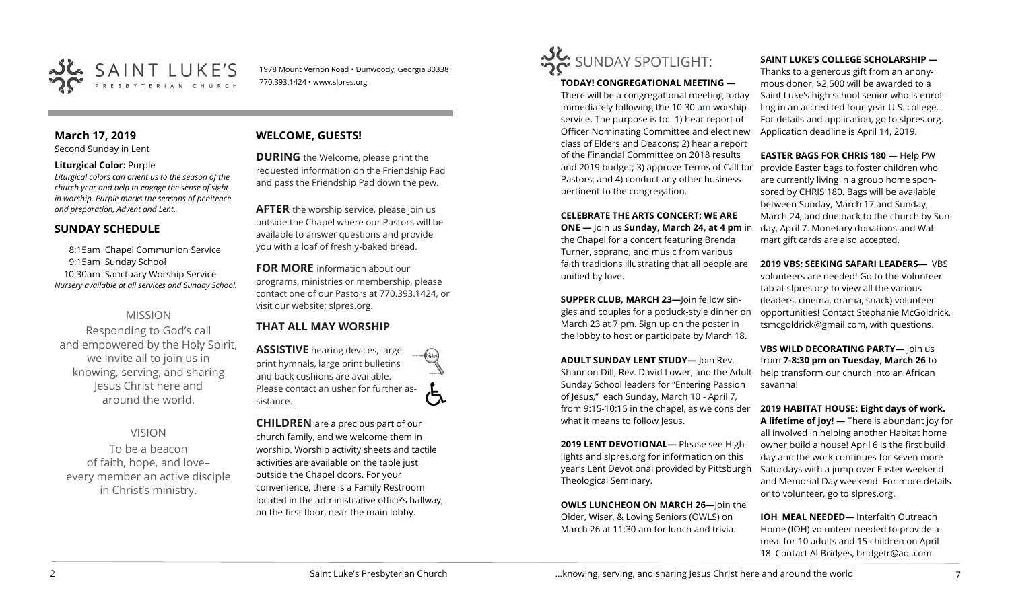

1978 Mount Vernon Road • Dunwoody, Georgia 30338 770.393.1424 • www.slpres.org

# **March 17, 2019**

Second Sunday in Lent

## **Liturgical Color:** Purple

*Liturgical colors can orient us to the season of the church year and help to engage the sense of sight in worship. Purple marks the seasons of penitence and preparation, Advent and Lent.*

# **SUNDAY SCHEDULE**

8:15am Chapel Communion Service 9:15am Sunday School 10:30am Sanctuary Worship Service *Nursery available at all services and Sunday School.* 

# MISSION

Responding to God's call and empowered by the Holy Spirit, we invite all to join us in knowing, serving, and sharing Jesus Christ here and around the world.

VISION To be a beacon of faith, hope, and love– every member an active disciple

in Christ's ministry.

# **WELCOME, GUESTS!**

**DURING** the Welcome, please print the requested information on the Friendship Pad and pass the Friendship Pad down the pew.

**AFTER** the worship service, please join us outside the Chapel where our Pastors will be available to answer questions and provide you with a loaf of freshly-baked bread.

**FOR MORE** information about our programs, ministries or membership, please contact one of our Pastors at 770.393.1424, or visit our website: slpres.org.

# **THAT ALL MAY WORSHIP**

**ASSISTIVE** hearing devices, large print hymnals, large print bulletins and back cushions are available. Please contact an usher for further assistance.

**CHILDREN** are a precious part of our church family, and we welcome them in worship. Worship activity sheets and tactile activities are available on the table just outside the Chapel doors. For your convenience, there is a Family Restroom located in the administrative office's hallway, on the first floor, near the main lobby.



## **TODAY! CONGREGATIONAL MEETING —**

There will be a congregational meeting today immediately following the 10:30 am worship service. The purpose is to: 1) hear report of Officer Nominating Committee and elect new class of Elders and Deacons; 2) hear a report of the Financial Committee on 2018 results and 2019 budget; 3) approve Terms of Call for Pastors; and 4) conduct any other business pertinent to the congregation.

## **CELEBRATE THE ARTS CONCERT: WE ARE**

**ONE —** Join us **Sunday, March 24, at 4 pm** in the Chapel for a concert featuring Brenda Turner, soprano, and music from various faith traditions illustrating that all people are unified by love.

**SUPPER CLUB, MARCH 23—**Join fellow singles and couples for a potluck-style dinner on March 23 at 7 pm. Sign up on the poster in the lobby to host or participate by March 18.

**ADULT SUNDAY LENT STUDY—** Join Rev. Shannon Dill, Rev. David Lower, and the Adult help transform our church into an African Sunday School leaders for "Entering Passion of Jesus," each Sunday, March 10 - April 7, from 9:15-10:15 in the chapel, as we consider what it means to follow Jesus.

**2019 LENT DEVOTIONAL—** Please see Highlights and slpres.org for information on this year's Lent Devotional provided by Pittsburgh Theological Seminary.

**OWLS LUNCHEON ON MARCH 26—**Join the Older, Wiser, & Loving Seniors (OWLS) on March 26 at 11:30 am for lunch and trivia.

### **SAINT LUKE'S COLLEGE SCHOLARSHIP —**

Thanks to a generous gift from an anonymous donor, \$2,500 will be awarded to a Saint Luke's high school senior who is enrolling in an accredited four-year U.S. college. For details and application, go to slpres.org. Application deadline is April 14, 2019.

**EASTER BAGS FOR CHRIS 180** — Help PW provide Easter bags to foster children who are currently living in a group home sponsored by CHRIS 180. Bags will be available between Sunday, March 17 and Sunday, March 24, and due back to the church by Sunday, April 7. Monetary donations and Walmart gift cards are also accepted.

## **2019 VBS: SEEKING SAFARI LEADERS— VBS**

volunteers are needed! Go to the Volunteer tab at slpres.org to view all the various (leaders, cinema, drama, snack) volunteer opportunities! Contact Stephanie McGoldrick, tsmcgoldrick@gmail.com, with questions.

**VBS WILD DECORATING PARTY—** Join us from **7-8:30 pm on Tuesday, March 26** to savanna!

**2019 HABITAT HOUSE: Eight days of work.** 

**A lifetime of joy! —** There is abundant joy for all involved in helping another Habitat home owner build a house! April 6 is the first build day and the work continues for seven more Saturdays with a jump over Easter weekend and Memorial Day weekend. For more details or to volunteer, go to slpres.org.

**IOH MEAL NEEDED—** Interfaith Outreach Home (IOH) volunteer needed to provide a meal for 10 adults and 15 children on April 18. Contact Al Bridges, bridgetr@aol.com.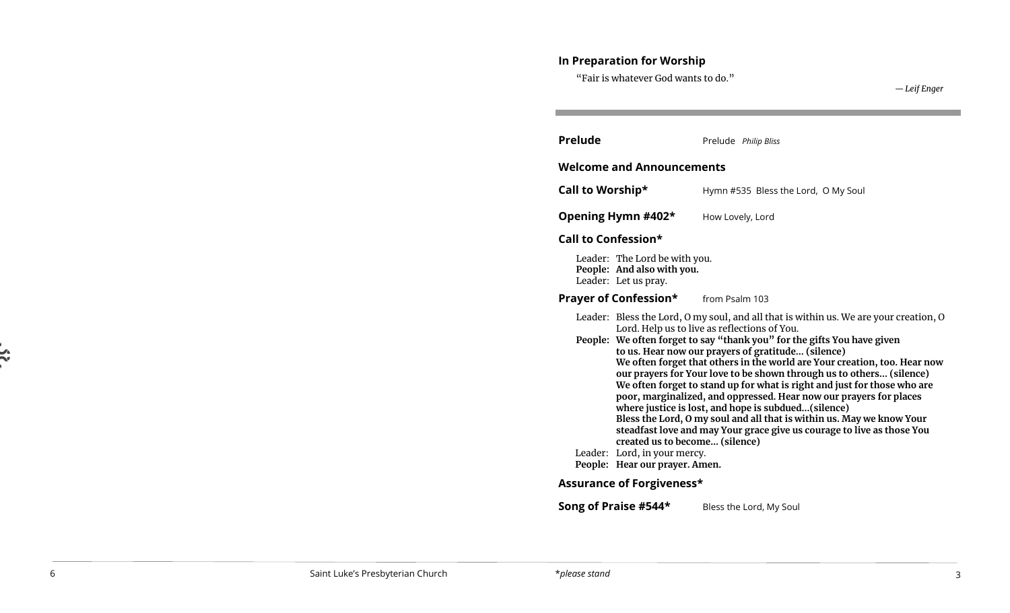# **In Preparation for Worship**

"Fair is whatever God wants to do."

| <b>Prelude</b>                                                                                                                                                                                                                                                                                                                                                                                                                                                                                                                                                                                                                                                                                                                                                                                                            |                                                                | Prelude Philip Bliss                |
|---------------------------------------------------------------------------------------------------------------------------------------------------------------------------------------------------------------------------------------------------------------------------------------------------------------------------------------------------------------------------------------------------------------------------------------------------------------------------------------------------------------------------------------------------------------------------------------------------------------------------------------------------------------------------------------------------------------------------------------------------------------------------------------------------------------------------|----------------------------------------------------------------|-------------------------------------|
|                                                                                                                                                                                                                                                                                                                                                                                                                                                                                                                                                                                                                                                                                                                                                                                                                           | <b>Welcome and Announcements</b>                               |                                     |
| Call to Worship*                                                                                                                                                                                                                                                                                                                                                                                                                                                                                                                                                                                                                                                                                                                                                                                                          |                                                                | Hymn #535 Bless the Lord, O My Soul |
|                                                                                                                                                                                                                                                                                                                                                                                                                                                                                                                                                                                                                                                                                                                                                                                                                           | Opening Hymn #402*                                             | How Lovely, Lord                    |
| Call to Confession*                                                                                                                                                                                                                                                                                                                                                                                                                                                                                                                                                                                                                                                                                                                                                                                                       |                                                                |                                     |
| Leader: The Lord be with you.<br>People: And also with you.<br>Leader: Let us pray.                                                                                                                                                                                                                                                                                                                                                                                                                                                                                                                                                                                                                                                                                                                                       |                                                                |                                     |
|                                                                                                                                                                                                                                                                                                                                                                                                                                                                                                                                                                                                                                                                                                                                                                                                                           | <b>Prayer of Confession*</b> from Psalm 103                    |                                     |
| Leader: Bless the Lord, O my soul, and all that is within us. We are your creation, O<br>Lord. Help us to live as reflections of You.<br>People: We often forget to say "thank you" for the gifts You have given<br>to us. Hear now our prayers of gratitude (silence)<br>We often forget that others in the world are Your creation, too. Hear now<br>our prayers for Your love to be shown through us to others (silence)<br>We often forget to stand up for what is right and just for those who are<br>poor, marginalized, and oppressed. Hear now our prayers for places<br>where justice is lost, and hope is subdued(silence)<br>Bless the Lord, O my soul and all that is within us. May we know Your<br>steadfast love and may Your grace give us courage to live as those You<br>created us to become (silence) |                                                                |                                     |
|                                                                                                                                                                                                                                                                                                                                                                                                                                                                                                                                                                                                                                                                                                                                                                                                                           | Leader: Lord, in your mercy.<br>People: Hear our prayer. Amen. |                                     |

# **Assurance of Forgiveness\***

**Song of Praise #544\*** Bless the Lord, My Soul

 $\frac{1}{2}$ 

*— Leif Enger*